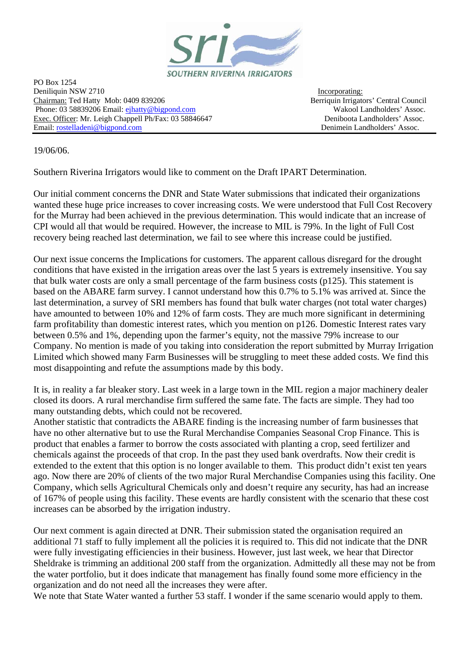

PO Box 1254 Deniliquin NSW 2710 Incorporating: Chairman: Ted Hatty Mob: 0409 839206 Berriquin Irrigators' Central Council Phone: 03 58839206 Email: [ejhatty@bigpond.com](mailto:ejhatty@bigpond.com) Wakool Landholders' Assoc. Exec. Officer: Mr. Leigh Chappell Ph/Fax: 03 58846647 Deniboota Landholders' Assoc. Email: [rostelladeni@bigpond.com](mailto:rostelladeni@bigpond.com) Denimein Landholders' Assoc.

19/06/06.

Southern Riverina Irrigators would like to comment on the Draft IPART Determination.

Our initial comment concerns the DNR and State Water submissions that indicated their organizations wanted these huge price increases to cover increasing costs. We were understood that Full Cost Recovery for the Murray had been achieved in the previous determination. This would indicate that an increase of CPI would all that would be required. However, the increase to MIL is 79%. In the light of Full Cost recovery being reached last determination, we fail to see where this increase could be justified.

Our next issue concerns the Implications for customers. The apparent callous disregard for the drought conditions that have existed in the irrigation areas over the last 5 years is extremely insensitive. You say that bulk water costs are only a small percentage of the farm business costs (p125). This statement is based on the ABARE farm survey. I cannot understand how this 0.7% to 5.1% was arrived at. Since the last determination, a survey of SRI members has found that bulk water charges (not total water charges) have amounted to between 10% and 12% of farm costs. They are much more significant in determining farm profitability than domestic interest rates, which you mention on p126. Domestic Interest rates vary between 0.5% and 1%, depending upon the farmer's equity, not the massive 79% increase to our Company. No mention is made of you taking into consideration the report submitted by Murray Irrigation Limited which showed many Farm Businesses will be struggling to meet these added costs. We find this most disappointing and refute the assumptions made by this body.

It is, in reality a far bleaker story. Last week in a large town in the MIL region a major machinery dealer closed its doors. A rural merchandise firm suffered the same fate. The facts are simple. They had too many outstanding debts, which could not be recovered.

Another statistic that contradicts the ABARE finding is the increasing number of farm businesses that have no other alternative but to use the Rural Merchandise Companies Seasonal Crop Finance. This is product that enables a farmer to borrow the costs associated with planting a crop, seed fertilizer and chemicals against the proceeds of that crop. In the past they used bank overdrafts. Now their credit is extended to the extent that this option is no longer available to them. This product didn't exist ten years ago. Now there are 20% of clients of the two major Rural Merchandise Companies using this facility. One Company, which sells Agricultural Chemicals only and doesn't require any security, has had an increase of 167% of people using this facility. These events are hardly consistent with the scenario that these cost increases can be absorbed by the irrigation industry.

Our next comment is again directed at DNR. Their submission stated the organisation required an additional 71 staff to fully implement all the policies it is required to. This did not indicate that the DNR were fully investigating efficiencies in their business. However, just last week, we hear that Director Sheldrake is trimming an additional 200 staff from the organization. Admittedly all these may not be from the water portfolio, but it does indicate that management has finally found some more efficiency in the organization and do not need all the increases they were after.

We note that State Water wanted a further 53 staff. I wonder if the same scenario would apply to them.